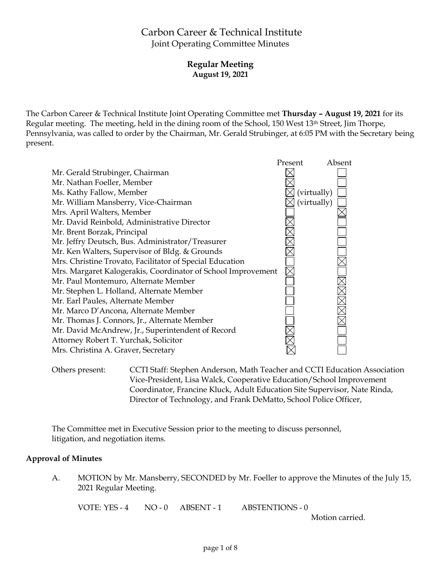# Carbon Career & Technical Institute Joint Operating Committee Minutes

# **Regular Meeting August 19, 2021**

The Carbon Career & Technical Institute Joint Operating Committee met **Thursday – August 19, 2021** for its Regular meeting. The meeting, held in the dining room of the School, 150 West 13th Street, Jim Thorpe, Pennsylvania, was called to order by the Chairman, Mr. Gerald Strubinger, at 6:05 PM with the Secretary being present.



Others present: CCTI Staff: Stephen Anderson, Math Teacher and CCTI Education Association Vice-President, Lisa Walck, Cooperative Education/School Improvement Coordinator, Francine Kluck, Adult Education Site Supervisor, Nate Rinda, Director of Technology, and Frank DeMatto, School Police Officer,

The Committee met in Executive Session prior to the meeting to discuss personnel, litigation, and negotiation items.

# **Approval of Minutes**

A. MOTION by Mr. Mansberry, SECONDED by Mr. Foeller to approve the Minutes of the July 15, 2021 Regular Meeting.

VOTE: YES - 4 NO - 0 ABSENT - 1 ABSTENTIONS - 0

Motion carried.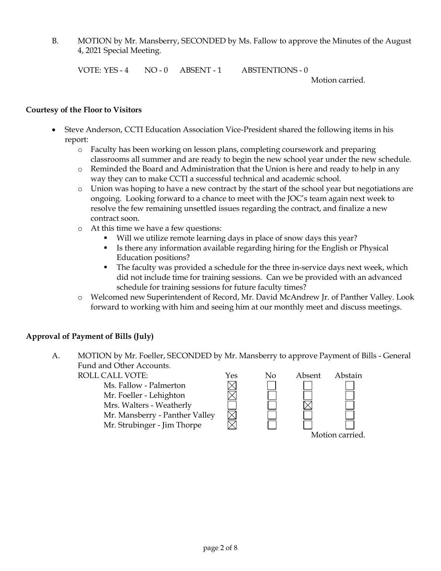B. MOTION by Mr. Mansberry, SECONDED by Ms. Fallow to approve the Minutes of the August 4, 2021 Special Meeting.

VOTE: YES - 4 NO - 0 ABSENT - 1 ABSTENTIONS - 0

Motion carried.

#### **Courtesy of the Floor to Visitors**

- Steve Anderson, CCTI Education Association Vice-President shared the following items in his report:
	- o Faculty has been working on lesson plans, completing coursework and preparing classrooms all summer and are ready to begin the new school year under the new schedule.
	- $\circ$  Reminded the Board and Administration that the Union is here and ready to help in any way they can to make CCTI a successful technical and academic school.
	- o Union was hoping to have a new contract by the start of the school year but negotiations are ongoing. Looking forward to a chance to meet with the JOC's team again next week to resolve the few remaining unsettled issues regarding the contract, and finalize a new contract soon.
	- o At this time we have a few questions:
		- Will we utilize remote learning days in place of snow days this year?
		- Is there any information available regarding hiring for the English or Physical Education positions?
		- The faculty was provided a schedule for the three in-service days next week, which did not include time for training sessions. Can we be provided with an advanced schedule for training sessions for future faculty times?
	- o Welcomed new Superintendent of Record, Mr. David McAndrew Jr. of Panther Valley. Look forward to working with him and seeing him at our monthly meet and discuss meetings.

# **Approval of Payment of Bills (July)**

A. MOTION by Mr. Foeller, SECONDED by Mr. Mansberry to approve Payment of Bills - General Fund and Other Accounts.

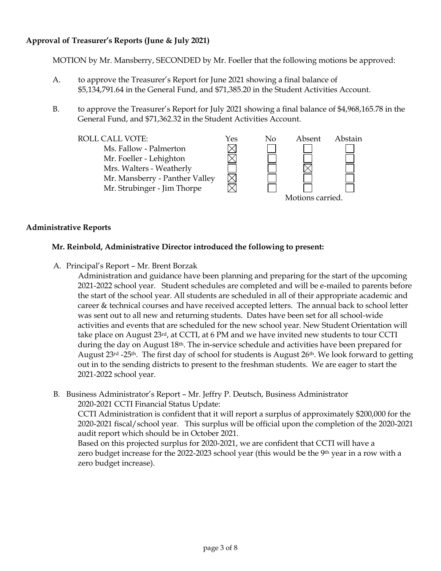# **Approval of Treasurer's Reports (June & July 2021)**

MOTION by Mr. Mansberry, SECONDED by Mr. Foeller that the following motions be approved:

- A. to approve the Treasurer's Report for June 2021 showing a final balance of \$5,134,791.64 in the General Fund, and \$71,385.20 in the Student Activities Account.
- B. to approve the Treasurer's Report for July 2021 showing a final balance of \$4,968,165.78 in the General Fund, and \$71,362.32 in the Student Activities Account.



### **Administrative Reports**

#### **Mr. Reinbold, Administrative Director introduced the following to present:**

A. Principal's Report – Mr. Brent Borzak

Administration and guidance have been planning and preparing for the start of the upcoming 2021-2022 school year. Student schedules are completed and will be e-mailed to parents before the start of the school year. All students are scheduled in all of their appropriate academic and career & technical courses and have received accepted letters. The annual back to school letter was sent out to all new and returning students. Dates have been set for all school-wide activities and events that are scheduled for the new school year. New Student Orientation will take place on August  $23<sup>rd</sup>$ , at CCTI, at 6 PM and we have invited new students to tour CCTI during the day on August 18<sup>th</sup>. The in-service schedule and activities have been prepared for August 23<sup>rd</sup> -25<sup>th</sup>. The first day of school for students is August 26<sup>th</sup>. We look forward to getting out in to the sending districts to present to the freshman students. We are eager to start the 2021-2022 school year.

B. Business Administrator's Report – Mr. Jeffry P. Deutsch, Business Administrator 2020-2021 CCTI Financial Status Update:

CCTI Administration is confident that it will report a surplus of approximately \$200,000 for the 2020-2021 fiscal/school year. This surplus will be official upon the completion of the 2020-2021 audit report which should be in October 2021.

Based on this projected surplus for 2020-2021, we are confident that CCTI will have a zero budget increase for the 2022-2023 school year (this would be the 9<sup>th</sup> year in a row with a zero budget increase).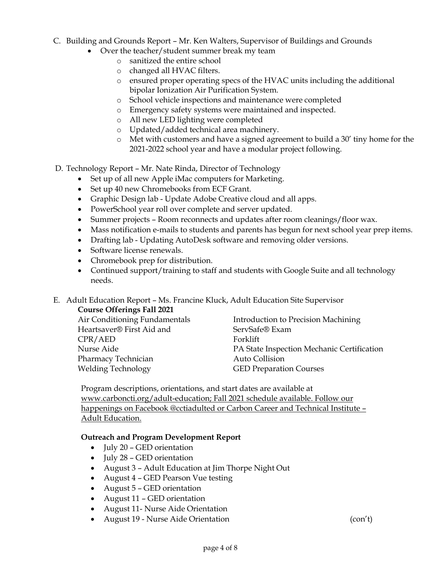# C. Building and Grounds Report – Mr. Ken Walters, Supervisor of Buildings and Grounds

- Over the teacher/student summer break my team
	- o sanitized the entire school
	- o changed all HVAC filters.
	- o ensured proper operating specs of the HVAC units including the additional bipolar Ionization Air Purification System.
	- o School vehicle inspections and maintenance were completed
	- o Emergency safety systems were maintained and inspected.
	- o All new LED lighting were completed
	- o Updated/added technical area machinery.
	- o Met with customers and have a signed agreement to build a 30' tiny home for the 2021-2022 school year and have a modular project following.

D. Technology Report – Mr. Nate Rinda, Director of Technology

- Set up of all new Apple iMac computers for Marketing.
- Set up 40 new Chromebooks from ECF Grant.
- Graphic Design lab Update Adobe Creative cloud and all apps.
- PowerSchool year roll over complete and server updated.
- Summer projects Room reconnects and updates after room cleanings/floor wax.
- Mass notification e-mails to students and parents has begun for next school year prep items.
- Drafting lab Updating AutoDesk software and removing older versions.
- Software license renewals.
- Chromebook prep for distribution.
- Continued support/training to staff and students with Google Suite and all technology needs.

# E. Adult Education Report – Ms. Francine Kluck, Adult Education Site Supervisor

#### **Course Offerings Fall 2021**

| Introduction to Precision Machining        |
|--------------------------------------------|
| ServSafe® Exam                             |
| Forklift                                   |
| PA State Inspection Mechanic Certification |
| Auto Collision                             |
| <b>GED Preparation Courses</b>             |
|                                            |

Program descriptions, orientations, and start dates are available at [www.carboncti.org/adult-education;](http://www.carboncti.org/adult-education) Fall 2021 schedule available. Follow our happenings on Facebook @cctiadulted or Carbon Career and Technical Institute – Adult Education.

### **Outreach and Program Development Report**

- July 20 GED orientation
- July 28 GED orientation
- August 3 Adult Education at Jim Thorpe Night Out
- August 4 GED Pearson Vue testing
- August 5 GED orientation
- August 11 GED orientation
- August 11- Nurse Aide Orientation
- August 19 Nurse Aide Orientation (con't)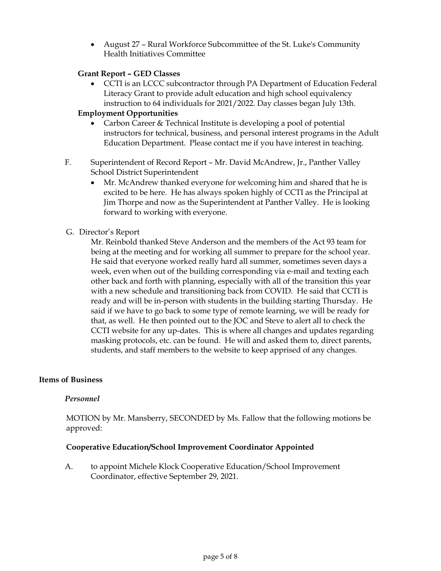August 27 – Rural Workforce Subcommittee of the St. Luke's Community Health Initiatives Committee

# **Grant Report – GED Classes**

 CCTI is an LCCC subcontractor through PA Department of Education Federal Literacy Grant to provide adult education and high school equivalency instruction to 64 individuals for 2021/2022. Day classes began July 13th.

# **Employment Opportunities**

- Carbon Career & Technical Institute is developing a pool of potential instructors for technical, business, and personal interest programs in the Adult Education Department. Please contact me if you have interest in teaching.
- F. Superintendent of Record Report Mr. David McAndrew, Jr., Panther Valley School District Superintendent
	- Mr. McAndrew thanked everyone for welcoming him and shared that he is excited to be here. He has always spoken highly of CCTI as the Principal at Jim Thorpe and now as the Superintendent at Panther Valley. He is looking forward to working with everyone.

# G. Director's Report

Mr. Reinbold thanked Steve Anderson and the members of the Act 93 team for being at the meeting and for working all summer to prepare for the school year. He said that everyone worked really hard all summer, sometimes seven days a week, even when out of the building corresponding via e-mail and texting each other back and forth with planning, especially with all of the transition this year with a new schedule and transitioning back from COVID. He said that CCTI is ready and will be in-person with students in the building starting Thursday. He said if we have to go back to some type of remote learning, we will be ready for that, as well. He then pointed out to the JOC and Steve to alert all to check the CCTI website for any up-dates. This is where all changes and updates regarding masking protocols, etc. can be found. He will and asked them to, direct parents, students, and staff members to the website to keep apprised of any changes.

### **Items of Business**

### *Personnel*

MOTION by Mr. Mansberry, SECONDED by Ms. Fallow that the following motions be approved:

### **Cooperative Education/School Improvement Coordinator Appointed**

A. to appoint Michele Klock Cooperative Education/School Improvement Coordinator, effective September 29, 2021.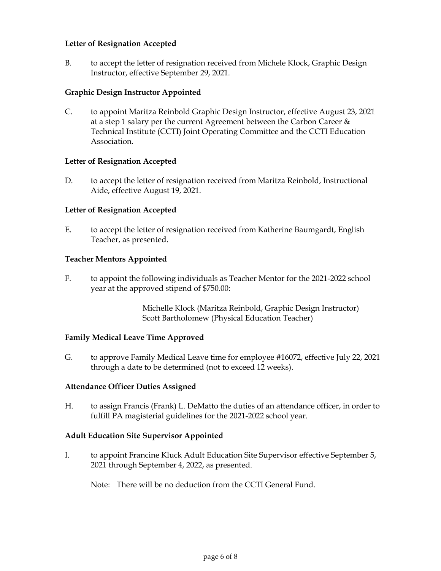### **Letter of Resignation Accepted**

B. to accept the letter of resignation received from Michele Klock, Graphic Design Instructor, effective September 29, 2021.

# **Graphic Design Instructor Appointed**

C. to appoint Maritza Reinbold Graphic Design Instructor, effective August 23, 2021 at a step 1 salary per the current Agreement between the Carbon Career & Technical Institute (CCTI) Joint Operating Committee and the CCTI Education Association.

### **Letter of Resignation Accepted**

D. to accept the letter of resignation received from Maritza Reinbold, Instructional Aide, effective August 19, 2021.

### **Letter of Resignation Accepted**

E. to accept the letter of resignation received from Katherine Baumgardt, English Teacher, as presented.

### **Teacher Mentors Appointed**

F. to appoint the following individuals as Teacher Mentor for the 2021-2022 school year at the approved stipend of \$750.00:

> Michelle Klock (Maritza Reinbold, Graphic Design Instructor) Scott Bartholomew (Physical Education Teacher)

### **Family Medical Leave Time Approved**

G. to approve Family Medical Leave time for employee #16072, effective July 22, 2021 through a date to be determined (not to exceed 12 weeks).

### **Attendance Officer Duties Assigned**

H. to assign Francis (Frank) L. DeMatto the duties of an attendance officer, in order to fulfill PA magisterial guidelines for the 2021-2022 school year.

### **Adult Education Site Supervisor Appointed**

I. to appoint Francine Kluck Adult Education Site Supervisor effective September 5, 2021 through September 4, 2022, as presented.

Note: There will be no deduction from the CCTI General Fund.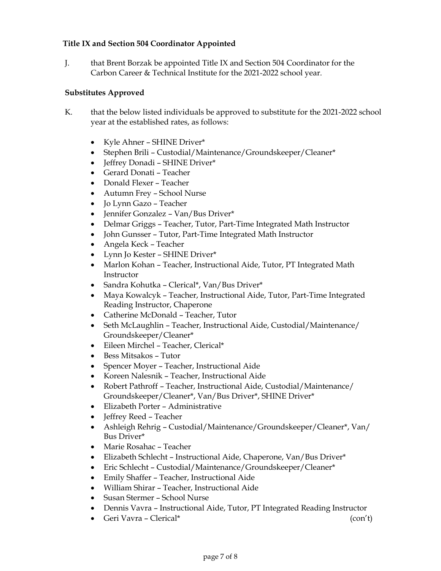# **Title IX and Section 504 Coordinator Appointed**

J. that Brent Borzak be appointed Title IX and Section 504 Coordinator for the Carbon Career & Technical Institute for the 2021-2022 school year.

# **Substitutes Approved**

- K. that the below listed individuals be approved to substitute for the 2021-2022 school year at the established rates, as follows:
	- Kyle Ahner SHINE Driver\*
	- Stephen Brili Custodial/Maintenance/Groundskeeper/Cleaner\*
	- Jeffrey Donadi SHINE Driver\*
	- Gerard Donati Teacher
	- Donald Flexer Teacher
	- Autumn Frey School Nurse
	- Jo Lynn Gazo Teacher
	- Jennifer Gonzalez Van/Bus Driver\*
	- Delmar Griggs Teacher, Tutor, Part-Time Integrated Math Instructor
	- John Gunsser Tutor, Part-Time Integrated Math Instructor
	- Angela Keck Teacher
	- Lynn Jo Kester SHINE Driver\*
	- Marlon Kohan Teacher, Instructional Aide, Tutor, PT Integrated Math Instructor
	- Sandra Kohutka Clerical\*, Van/Bus Driver\*
	- Maya Kowalcyk Teacher, Instructional Aide, Tutor, Part-Time Integrated Reading Instructor, Chaperone
	- Catherine McDonald Teacher, Tutor
	- Seth McLaughlin Teacher, Instructional Aide, Custodial/Maintenance/ Groundskeeper/Cleaner\*
	- Eileen Mirchel Teacher, Clerical\*
	- Bess Mitsakos Tutor
	- Spencer Moyer Teacher, Instructional Aide
	- Koreen Nalesnik Teacher, Instructional Aide
	- Robert Pathroff Teacher, Instructional Aide, Custodial/Maintenance/ Groundskeeper/Cleaner\*, Van/Bus Driver\*, SHINE Driver\*
	- Elizabeth Porter Administrative
	- Jeffrey Reed Teacher
	- Ashleigh Rehrig Custodial/Maintenance/Groundskeeper/Cleaner\*, Van/ Bus Driver\*
	- Marie Rosahac Teacher
	- Elizabeth Schlecht Instructional Aide, Chaperone, Van/Bus Driver\*
	- Eric Schlecht Custodial/Maintenance/Groundskeeper/Cleaner\*
	- Emily Shaffer Teacher, Instructional Aide
	- William Shirar Teacher, Instructional Aide
	- Susan Stermer School Nurse
	- Dennis Vavra Instructional Aide, Tutor, PT Integrated Reading Instructor
	- Geri Vavra Clerical\* (con't)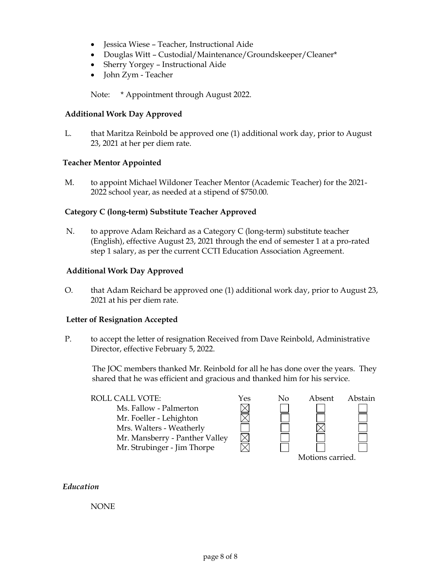- Jessica Wiese Teacher, Instructional Aide
- Douglas Witt Custodial/Maintenance/Groundskeeper/Cleaner\*
- Sherry Yorgey Instructional Aide
- John Zym Teacher

Note: \* Appointment through August 2022.

# **Additional Work Day Approved**

L. that Maritza Reinbold be approved one (1) additional work day, prior to August 23, 2021 at her per diem rate.

# **Teacher Mentor Appointed**

M. to appoint Michael Wildoner Teacher Mentor (Academic Teacher) for the 2021- 2022 school year, as needed at a stipend of \$750.00.

# **Category C (long-term) Substitute Teacher Approved**

N. to approve Adam Reichard as a Category C (long-term) substitute teacher (English), effective August 23, 2021 through the end of semester 1 at a pro-rated step 1 salary, as per the current CCTI Education Association Agreement.

# **Additional Work Day Approved**

O. that Adam Reichard be approved one (1) additional work day, prior to August 23, 2021 at his per diem rate.

### **Letter of Resignation Accepted**

P. to accept the letter of resignation Received from Dave Reinbold, Administrative Director, effective February 5, 2022.

The JOC members thanked Mr. Reinbold for all he has done over the years. They shared that he was efficient and gracious and thanked him for his service.

| ROLL CALL VOTE:                | Yes | Nο               | Absent | Abstain |
|--------------------------------|-----|------------------|--------|---------|
| Ms. Fallow - Palmerton         |     |                  |        |         |
| Mr. Foeller - Lehighton        |     |                  |        |         |
| Mrs. Walters - Weatherly       |     |                  |        |         |
| Mr. Mansberry - Panther Valley |     |                  |        |         |
| Mr. Strubinger - Jim Thorpe    |     |                  |        |         |
|                                |     | Motions carried. |        |         |

### *Education*

### NONE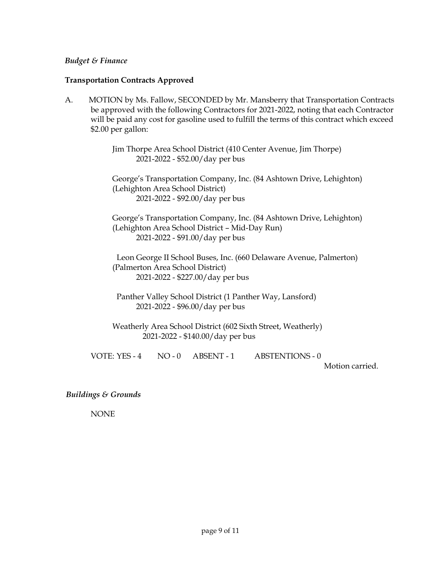#### *Budget & Finance*

#### **Transportation Contracts Approved**

A. MOTION by Ms. Fallow, SECONDED by Mr. Mansberry that Transportation Contracts be approved with the following Contractors for 2021-2022, noting that each Contractor will be paid any cost for gasoline used to fulfill the terms of this contract which exceed \$2.00 per gallon:

> Jim Thorpe Area School District (410 Center Avenue, Jim Thorpe) 2021-2022 - \$52.00/day per bus

 George's Transportation Company, Inc. (84 Ashtown Drive, Lehighton) (Lehighton Area School District) 2021-2022 - \$92.00/day per bus

 George's Transportation Company, Inc. (84 Ashtown Drive, Lehighton) (Lehighton Area School District – Mid-Day Run) 2021-2022 - \$91.00/day per bus

Leon George II School Buses, Inc. (660 Delaware Avenue, Palmerton) (Palmerton Area School District) 2021-2022 - \$227.00/day per bus

Panther Valley School District (1 Panther Way, Lansford) 2021-2022 - \$96.00/day per bus

 Weatherly Area School District (602 Sixth Street, Weatherly) 2021-2022 - \$140.00/day per bus

VOTE: YES - 4 NO - 0 ABSENT - 1 ABSTENTIONS - 0

Motion carried.

*Buildings & Grounds*

NONE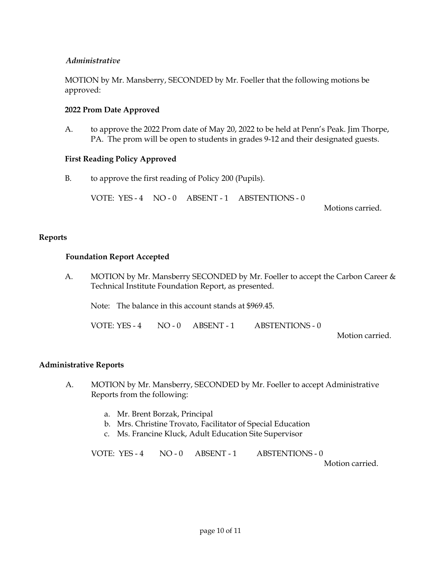# *Administrative*

MOTION by Mr. Mansberry, SECONDED by Mr. Foeller that the following motions be approved:

# **2022 Prom Date Approved**

A. to approve the 2022 Prom date of May 20, 2022 to be held at Penn's Peak. Jim Thorpe, PA. The prom will be open to students in grades 9-12 and their designated guests.

#### **First Reading Policy Approved**

B. to approve the first reading of Policy 200 (Pupils).

VOTE: YES - 4 NO - 0 ABSENT - 1 ABSTENTIONS - 0

Motions carried.

#### **Reports**

#### **Foundation Report Accepted**

A. MOTION by Mr. Mansberry SECONDED by Mr. Foeller to accept the Carbon Career & Technical Institute Foundation Report, as presented.

Note: The balance in this account stands at \$969.45.

VOTE: YES - 4 NO - 0 ABSENT - 1 ABSTENTIONS - 0

Motion carried.

### **Administrative Reports**

- A. MOTION by Mr. Mansberry, SECONDED by Mr. Foeller to accept Administrative Reports from the following:
	- a. Mr. Brent Borzak, Principal
	- b. Mrs. Christine Trovato, Facilitator of Special Education
	- c. Ms. Francine Kluck, Adult Education Site Supervisor

VOTE: YES - 4 NO - 0 ABSENT - 1 ABSTENTIONS - 0

Motion carried.